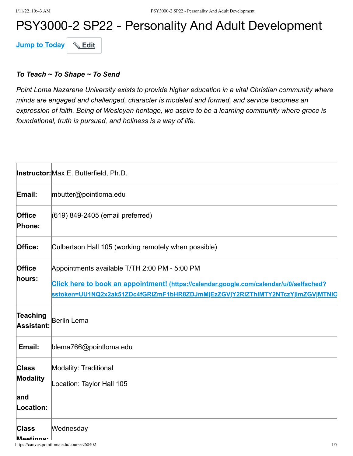# PSY3000-2 SP22 - Personality And Adult Development

**Jump to Today & Edit** 

#### *To Teach ~ To Shape ~ To Send*

*Point Loma Nazarene University exists to provide higher education in a vital Christian community where minds are engaged and challenged, character is modeled and formed, and service becomes an expression of faith. Being of Wesleyan heritage, we aspire to be a learning community where grace is foundational, truth is pursued, and holiness is a way of life.*

|                                       | Instructor: Max E. Butterfield, Ph.D.                                                                                                                                                                                     |
|---------------------------------------|---------------------------------------------------------------------------------------------------------------------------------------------------------------------------------------------------------------------------|
| Email:                                | mbutter@pointloma.edu                                                                                                                                                                                                     |
| Office<br>Phone:                      | (619) 849-2405 (email preferred)                                                                                                                                                                                          |
| Office:                               | Culbertson Hall 105 (working remotely when possible)                                                                                                                                                                      |
| Office<br>hours:                      | Appointments available T/TH 2:00 PM - 5:00 PM<br>Click here to book an appointment! (https://calendar.google.com/calendar/u/0/selfsched?<br>sstoken=UU1NQ2x2ak51ZDc4fGRIZmF1bHR8ZDJmMjEzZGVjY2RiZThIMTY2NTczYjImZGVjMTNIQ |
| Teaching<br>Assistant:                | Berlin Lema                                                                                                                                                                                                               |
| Email:                                | blema766@pointloma.edu                                                                                                                                                                                                    |
| <b>Class</b><br><b>Modality</b>       | Modality: Traditional<br>Location: Taylor Hall 105                                                                                                                                                                        |
| land<br>Location:                     |                                                                                                                                                                                                                           |
| <b>Class</b><br>Meetings <sup>.</sup> | Wednesday                                                                                                                                                                                                                 |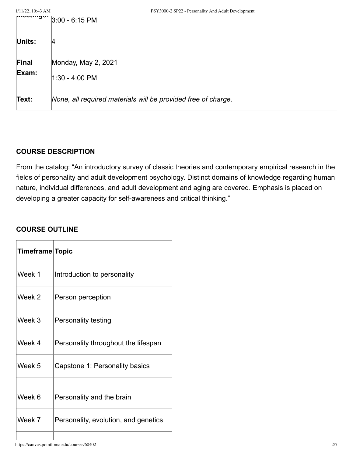| 1/11/22, 10:43 AM | PSY3000-2 SP22 - Personality And Adult Development            |
|-------------------|---------------------------------------------------------------|
| ாப்பைப்படுக்      | $3:00 - 6:15$ PM                                              |
| Units:            | 14                                                            |
| Final<br>Exam:    | Monday, May 2, 2021<br>1:30 - 4:00 PM                         |
| Text:             | None, all required materials will be provided free of charge. |

#### **COURSE DESCRIPTION**

From the catalog: "An introductory survey of classic theories and contemporary empirical research in the fields of personality and adult development psychology. Distinct domains of knowledge regarding human nature, individual differences, and adult development and aging are covered. Emphasis is placed on developing a greater capacity for self-awareness and critical thinking."

## **COURSE OUTLINE**

| Timeframe Topic |                                      |
|-----------------|--------------------------------------|
| Week 1          | Introduction to personality          |
| Week 2          | Person perception                    |
| Week 3          | Personality testing                  |
| Week 4          | Personality throughout the lifespan  |
| Week 5          | Capstone 1: Personality basics       |
| Week 6          | Personality and the brain            |
| Week 7          | Personality, evolution, and genetics |
|                 |                                      |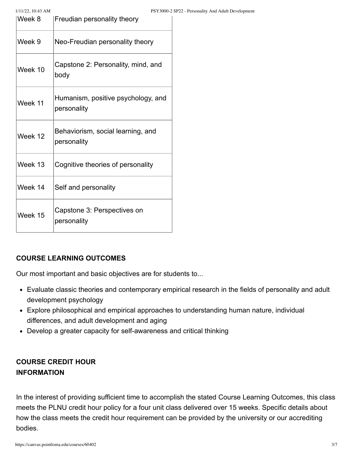| Week 8  | Freudian personality theory                       |
|---------|---------------------------------------------------|
| Week 9  | Neo-Freudian personality theory                   |
| Week 10 | Capstone 2: Personality, mind, and<br>body        |
| Week 11 | Humanism, positive psychology, and<br>personality |
| Week 12 | Behaviorism, social learning, and<br>personality  |
| Week 13 | Cognitive theories of personality                 |
| Week 14 | Self and personality                              |
| Week 15 | Capstone 3: Perspectives on<br>personality        |

#### **COURSE LEARNING OUTCOMES**

Our most important and basic objectives are for students to...

- Evaluate classic theories and contemporary empirical research in the fields of personality and adult development psychology
- Explore philosophical and empirical approaches to understanding human nature, individual differences, and adult development and aging
- Develop a greater capacity for self-awareness and critical thinking

# **COURSE CREDIT HOUR INFORMATION**

In the interest of providing sufficient time to accomplish the stated Course Learning Outcomes, this class meets the PLNU credit hour policy for a four unit class delivered over 15 weeks. Specific details about how the class meets the credit hour requirement can be provided by the university or our accrediting bodies.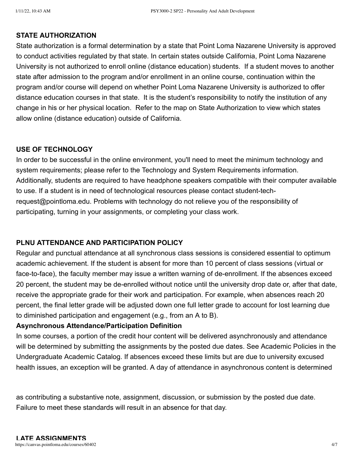#### **STATE AUTHORIZATION**

State authorization is a formal determination by a state that Point Loma Nazarene University is approved to conduct activities regulated by that state. In certain states outside California, Point Loma Nazarene University is not authorized to enroll online (distance education) students. If a student moves to another state after admission to the program and/or enrollment in an online course, continuation within the program and/or course will depend on whether Point Loma Nazarene University is authorized to offer distance education courses in that state. It is the student's responsibility to notify the institution of any change in his or her physical location. Refer to the map on State Authorization to view which states allow online (distance education) outside of California.

#### **USE OF TECHNOLOGY**

In order to be successful in the online environment, you'll need to meet the minimum technology and system requirements; please refer to the Technology and System Requirements information. Additionally, students are required to have headphone speakers compatible with their computer available to use. If a student is in need of technological resources please contact student-techrequest@pointloma.edu. Problems with technology do not relieve you of the responsibility of participating, turning in your assignments, or completing your class work.

#### **PLNU ATTENDANCE AND PARTICIPATION POLICY**

Regular and punctual attendance at all synchronous class sessions is considered essential to optimum academic achievement. If the student is absent for more than 10 percent of class sessions (virtual or face-to-face), the faculty member may issue a written warning of de-enrollment. If the absences exceed 20 percent, the student may be de-enrolled without notice until the university drop date or, after that date, receive the appropriate grade for their work and participation. For example, when absences reach 20 percent, the final letter grade will be adjusted down one full letter grade to account for lost learning due to diminished participation and engagement (e.g., from an A to B).

#### **Asynchronous Attendance/Participation Definition**

In some courses, a portion of the credit hour content will be delivered asynchronously and attendance will be determined by submitting the assignments by the posted due dates. See Academic Policies in the Undergraduate Academic Catalog. If absences exceed these limits but are due to university excused health issues, an exception will be granted. A day of attendance in asynchronous content is determined

as contributing a substantive note, assignment, discussion, or submission by the posted due date. Failure to meet these standards will result in an absence for that day.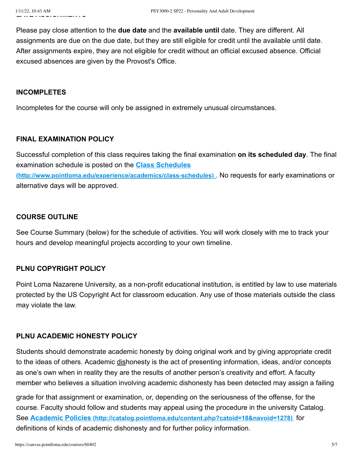Please pay close attention to the **due date** and the **available until** date. They are different. All assignments are due on the due date, but they are still eligible for credit until the available until date. After assignments expire, they are not eligible for credit without an official excused absence. Official excused absences are given by the Provost's Office.

#### **INCOMPLETES**

Incompletes for the course will only be assigned in extremely unusual circumstances.

#### **FINAL EXAMINATION POLICY**

Successful completion of this class requires taking the final examination **on its scheduled day**. The final examination schedule is posted on the **Class Schedules [\(http://www.pointloma.edu/experience/academics/class-schedules\)](http://www.pointloma.edu/experience/academics/class-schedules)** . No requests for early examinations or alternative days will be approved.

### **COURSE OUTLINE**

See Course Summary (below) for the schedule of activities. You will work closely with me to track your hours and develop meaningful projects according to your own timeline.

# **PLNU COPYRIGHT POLICY**

Point Loma Nazarene University, as a non-profit educational institution, is entitled by law to use materials protected by the US Copyright Act for classroom education. Any use of those materials outside the class may violate the law.

# **PLNU ACADEMIC HONESTY POLICY**

Students should demonstrate academic honesty by doing original work and by giving appropriate credit to the ideas of others. Academic dishonesty is the act of presenting information, ideas, and/or concepts as one's own when in reality they are the results of another person's creativity and effort. A faculty member who believes a situation involving academic dishonesty has been detected may assign a failing

grade for that assignment or examination, or, depending on the seriousness of the offense, for the course. Faculty should follow and students may appeal using the procedure in the university Catalog. See **Academic Policies [\(http://catalog.pointloma.edu/content.php?catoid=18&navoid=1278\)](http://catalog.pointloma.edu/content.php?catoid=18&navoid=1278)** for definitions of kinds of academic dishonesty and for further policy information.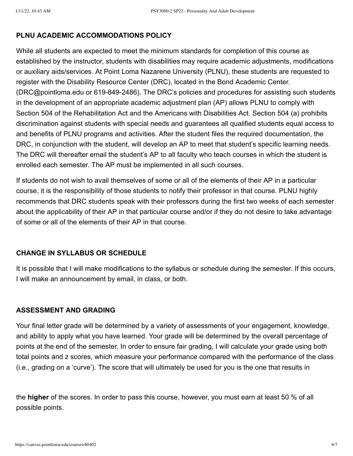#### **PLNU ACADEMIC ACCOMMODATIONS POLICY**

While all students are expected to meet the minimum standards for completion of this course as established by the instructor, students with disabilities may require academic adjustments, modifications or auxiliary aids/services. At Point Loma Nazarene University (PLNU), these students are requested to register with the Disability Resource Center (DRC), located in the Bond Academic Center. (DRC@pointloma.edu or 619-849-2486). The DRC's policies and procedures for assisting such students in the development of an appropriate academic adjustment plan (AP) allows PLNU to comply with Section 504 of the Rehabilitation Act and the Americans with Disabilities Act. Section 504 (a) prohibits discrimination against students with special needs and guarantees all qualified students equal access to and benefits of PLNU programs and activities. After the student files the required documentation, the DRC, in conjunction with the student, will develop an AP to meet that student's specific learning needs. The DRC will thereafter email the student's AP to all faculty who teach courses in which the student is enrolled each semester. The AP must be implemented in all such courses.

If students do not wish to avail themselves of some or all of the elements of their AP in a particular course, it is the responsibility of those students to notify their professor in that course. PLNU highly recommends that DRC students speak with their professors during the first two weeks of each semester about the applicability of their AP in that particular course and/or if they do not desire to take advantage of some or all of the elements of their AP in that course.

#### **CHANGE IN SYLLABUS OR SCHEDULE**

It is possible that I will make modifications to the syllabus or schedule during the semester. If this occurs, I will make an announcement by email, in class, or both.

#### **ASSESSMENT AND GRADING**

Your final letter grade will be determined by a variety of assessments of your engagement, knowledge, and ability to apply what you have learned. Your grade will be determined by the overall percentage of points at the end of the semester. In order to ensure fair grading, I will calculate your grade using both total points and z scores, which measure your performance compared with the performance of the class (i.e., grading on a 'curve'). The score that will ultimately be used for you is the one that results in

the **higher** of the scores. In order to pass this course, however, you must earn at least 50 % of all possible points.